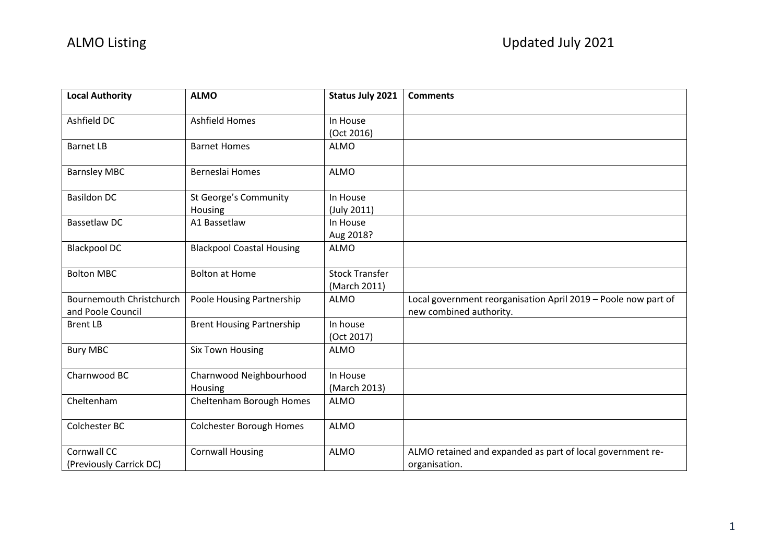| <b>Local Authority</b>                 | <b>ALMO</b>                      | <b>Status July 2021</b> | <b>Comments</b>                                                             |
|----------------------------------------|----------------------------------|-------------------------|-----------------------------------------------------------------------------|
| Ashfield DC                            | <b>Ashfield Homes</b>            | In House                |                                                                             |
|                                        |                                  | (Oct 2016)              |                                                                             |
| <b>Barnet LB</b>                       | <b>Barnet Homes</b>              | <b>ALMO</b>             |                                                                             |
| <b>Barnsley MBC</b>                    | Berneslai Homes                  | <b>ALMO</b>             |                                                                             |
| <b>Basildon DC</b>                     | <b>St George's Community</b>     | In House                |                                                                             |
|                                        | Housing                          | (July 2011)             |                                                                             |
| <b>Bassetlaw DC</b>                    | A1 Bassetlaw                     | In House                |                                                                             |
|                                        |                                  | Aug 2018?               |                                                                             |
| <b>Blackpool DC</b>                    | <b>Blackpool Coastal Housing</b> | <b>ALMO</b>             |                                                                             |
| <b>Bolton MBC</b>                      | <b>Bolton at Home</b>            | <b>Stock Transfer</b>   |                                                                             |
|                                        |                                  | (March 2011)            |                                                                             |
| <b>Bournemouth Christchurch</b>        | Poole Housing Partnership        | <b>ALMO</b>             | Local government reorganisation April 2019 - Poole now part of              |
| and Poole Council                      |                                  |                         | new combined authority.                                                     |
| <b>Brent LB</b>                        | <b>Brent Housing Partnership</b> | In house                |                                                                             |
|                                        |                                  | (Oct 2017)              |                                                                             |
| <b>Bury MBC</b>                        | <b>Six Town Housing</b>          | <b>ALMO</b>             |                                                                             |
| Charnwood BC                           | Charnwood Neighbourhood          | In House                |                                                                             |
|                                        | Housing                          | (March 2013)            |                                                                             |
| Cheltenham                             | Cheltenham Borough Homes         | <b>ALMO</b>             |                                                                             |
| Colchester BC                          | <b>Colchester Borough Homes</b>  | <b>ALMO</b>             |                                                                             |
| Cornwall CC<br>(Previously Carrick DC) | <b>Cornwall Housing</b>          | <b>ALMO</b>             | ALMO retained and expanded as part of local government re-<br>organisation. |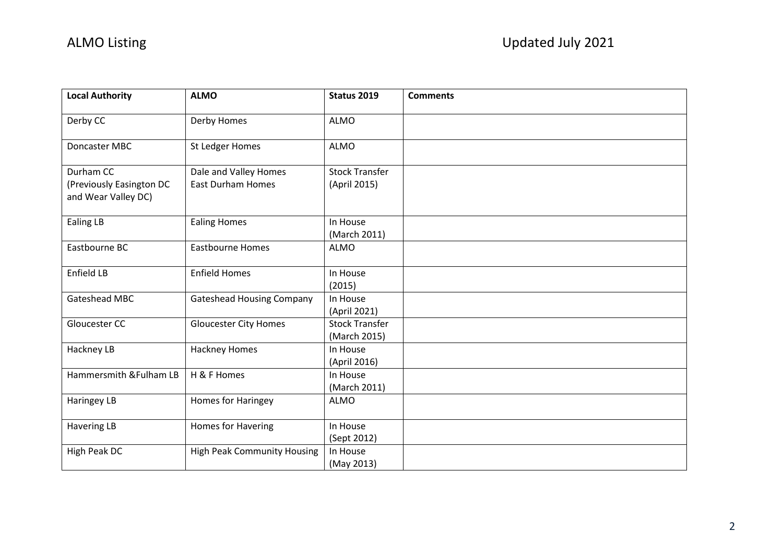| <b>Local Authority</b>                                       | <b>ALMO</b>                                       | <b>Status 2019</b>                    | <b>Comments</b> |
|--------------------------------------------------------------|---------------------------------------------------|---------------------------------------|-----------------|
| Derby CC                                                     | Derby Homes                                       | <b>ALMO</b>                           |                 |
| Doncaster MBC                                                | St Ledger Homes                                   | <b>ALMO</b>                           |                 |
| Durham CC<br>(Previously Easington DC<br>and Wear Valley DC) | Dale and Valley Homes<br><b>East Durham Homes</b> | <b>Stock Transfer</b><br>(April 2015) |                 |
| <b>Ealing LB</b>                                             | <b>Ealing Homes</b>                               | In House<br>(March 2011)              |                 |
| Eastbourne BC                                                | <b>Eastbourne Homes</b>                           | <b>ALMO</b>                           |                 |
| Enfield LB                                                   | <b>Enfield Homes</b>                              | In House<br>(2015)                    |                 |
| Gateshead MBC                                                | <b>Gateshead Housing Company</b>                  | In House<br>(April 2021)              |                 |
| Gloucester CC                                                | <b>Gloucester City Homes</b>                      | <b>Stock Transfer</b><br>(March 2015) |                 |
| Hackney LB                                                   | <b>Hackney Homes</b>                              | In House<br>(April 2016)              |                 |
| Hammersmith & Fulham LB                                      | H & F Homes                                       | In House<br>(March 2011)              |                 |
| Haringey LB                                                  | Homes for Haringey                                | <b>ALMO</b>                           |                 |
| <b>Havering LB</b>                                           | Homes for Havering                                | In House<br>(Sept 2012)               |                 |
| High Peak DC                                                 | <b>High Peak Community Housing</b>                | In House<br>(May 2013)                |                 |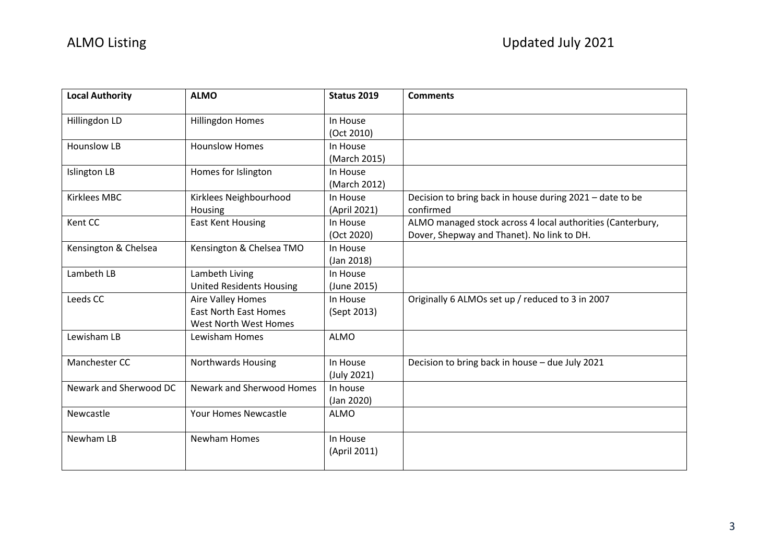| <b>Local Authority</b> | <b>ALMO</b>                     | Status 2019  | <b>Comments</b>                                            |
|------------------------|---------------------------------|--------------|------------------------------------------------------------|
| Hillingdon LD          | <b>Hillingdon Homes</b>         | In House     |                                                            |
|                        |                                 | (Oct 2010)   |                                                            |
| <b>Hounslow LB</b>     | <b>Hounslow Homes</b>           | In House     |                                                            |
|                        |                                 | (March 2015) |                                                            |
| <b>Islington LB</b>    | Homes for Islington             | In House     |                                                            |
|                        |                                 | (March 2012) |                                                            |
| <b>Kirklees MBC</b>    | Kirklees Neighbourhood          | In House     | Decision to bring back in house during 2021 - date to be   |
|                        | Housing                         | (April 2021) | confirmed                                                  |
| Kent CC                | <b>East Kent Housing</b>        | In House     | ALMO managed stock across 4 local authorities (Canterbury, |
|                        |                                 | (Oct 2020)   | Dover, Shepway and Thanet). No link to DH.                 |
| Kensington & Chelsea   | Kensington & Chelsea TMO        | In House     |                                                            |
|                        |                                 | (Jan 2018)   |                                                            |
| Lambeth LB             | Lambeth Living                  | In House     |                                                            |
|                        | <b>United Residents Housing</b> | (June 2015)  |                                                            |
| Leeds CC               | <b>Aire Valley Homes</b>        | In House     | Originally 6 ALMOs set up / reduced to 3 in 2007           |
|                        | <b>East North East Homes</b>    | (Sept 2013)  |                                                            |
|                        | West North West Homes           |              |                                                            |
| Lewisham LB            | Lewisham Homes                  | <b>ALMO</b>  |                                                            |
| Manchester CC          | <b>Northwards Housing</b>       | In House     | Decision to bring back in house - due July 2021            |
|                        |                                 | (July 2021)  |                                                            |
| Newark and Sherwood DC | Newark and Sherwood Homes       | In house     |                                                            |
|                        |                                 | (Jan 2020)   |                                                            |
| Newcastle              | Your Homes Newcastle            | <b>ALMO</b>  |                                                            |
| Newham LB              | <b>Newham Homes</b>             | In House     |                                                            |
|                        |                                 | (April 2011) |                                                            |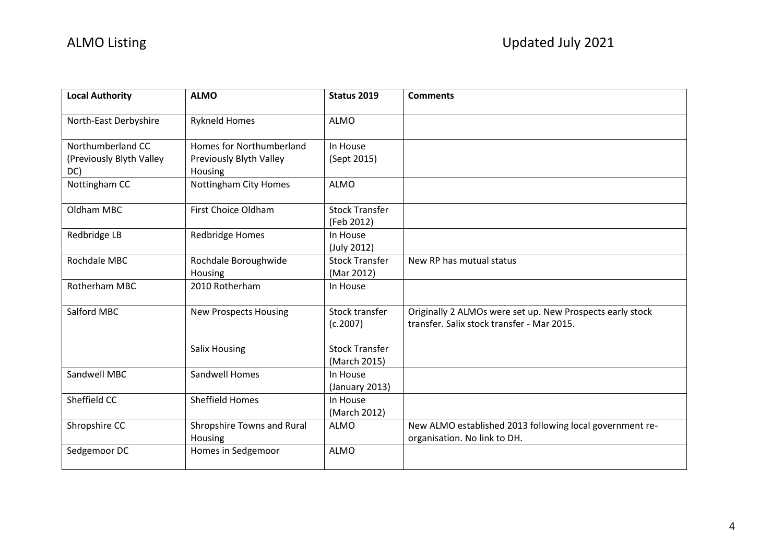| <b>Local Authority</b>   | <b>ALMO</b>                  | <b>Status 2019</b>                | <b>Comments</b>                                                                                         |
|--------------------------|------------------------------|-----------------------------------|---------------------------------------------------------------------------------------------------------|
| North-East Derbyshire    | <b>Rykneld Homes</b>         | <b>ALMO</b>                       |                                                                                                         |
| Northumberland CC        | Homes for Northumberland     | In House                          |                                                                                                         |
| (Previously Blyth Valley | Previously Blyth Valley      | (Sept 2015)                       |                                                                                                         |
| DC)                      | Housing                      |                                   |                                                                                                         |
| Nottingham CC            | Nottingham City Homes        | <b>ALMO</b>                       |                                                                                                         |
| Oldham MBC               | First Choice Oldham          | <b>Stock Transfer</b>             |                                                                                                         |
|                          |                              | (Feb 2012)                        |                                                                                                         |
| Redbridge LB             | <b>Redbridge Homes</b>       | In House                          |                                                                                                         |
|                          |                              | (July 2012)                       |                                                                                                         |
| Rochdale MBC             | Rochdale Boroughwide         | <b>Stock Transfer</b>             | New RP has mutual status                                                                                |
|                          | Housing                      | (Mar 2012)                        |                                                                                                         |
| Rotherham MBC            | 2010 Rotherham               | In House                          |                                                                                                         |
| Salford MBC              | <b>New Prospects Housing</b> | <b>Stock transfer</b><br>(c.2007) | Originally 2 ALMOs were set up. New Prospects early stock<br>transfer. Salix stock transfer - Mar 2015. |
|                          | <b>Salix Housing</b>         | <b>Stock Transfer</b>             |                                                                                                         |
|                          |                              | (March 2015)                      |                                                                                                         |
| Sandwell MBC             | Sandwell Homes               | In House                          |                                                                                                         |
|                          |                              | (January 2013)                    |                                                                                                         |
| Sheffield CC             | <b>Sheffield Homes</b>       | In House                          |                                                                                                         |
|                          |                              | (March 2012)                      |                                                                                                         |
| Shropshire CC            | Shropshire Towns and Rural   | <b>ALMO</b>                       | New ALMO established 2013 following local government re-                                                |
|                          | Housing                      |                                   | organisation. No link to DH.                                                                            |
| Sedgemoor DC             | Homes in Sedgemoor           | <b>ALMO</b>                       |                                                                                                         |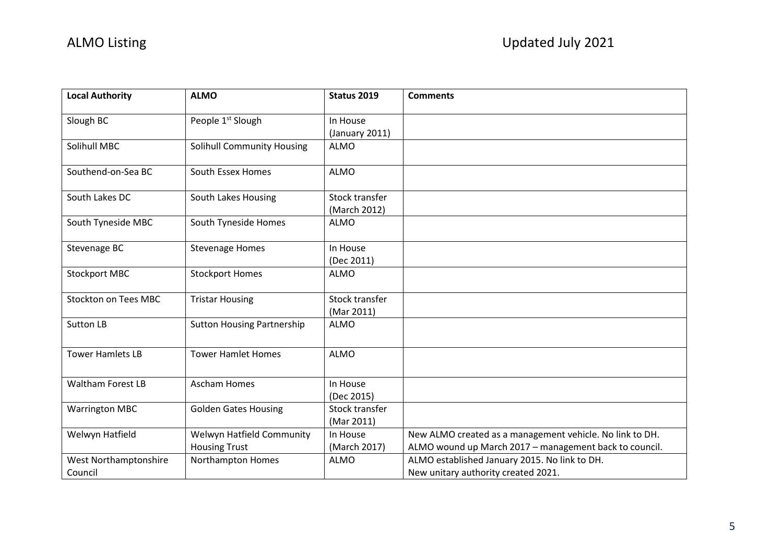| <b>Local Authority</b>      | <b>ALMO</b>                       | Status 2019           | <b>Comments</b>                                          |
|-----------------------------|-----------------------------------|-----------------------|----------------------------------------------------------|
| Slough BC                   | People 1 <sup>st</sup> Slough     | In House              |                                                          |
|                             |                                   | (January 2011)        |                                                          |
| Solihull MBC                | <b>Solihull Community Housing</b> | <b>ALMO</b>           |                                                          |
| Southend-on-Sea BC          | South Essex Homes                 | <b>ALMO</b>           |                                                          |
| South Lakes DC              | South Lakes Housing               | <b>Stock transfer</b> |                                                          |
|                             |                                   | (March 2012)          |                                                          |
| South Tyneside MBC          | South Tyneside Homes              | <b>ALMO</b>           |                                                          |
| Stevenage BC                | <b>Stevenage Homes</b>            | In House              |                                                          |
|                             |                                   | (Dec 2011)            |                                                          |
| <b>Stockport MBC</b>        | <b>Stockport Homes</b>            | <b>ALMO</b>           |                                                          |
| <b>Stockton on Tees MBC</b> | <b>Tristar Housing</b>            | Stock transfer        |                                                          |
|                             |                                   | (Mar 2011)            |                                                          |
| <b>Sutton LB</b>            | <b>Sutton Housing Partnership</b> | <b>ALMO</b>           |                                                          |
| <b>Tower Hamlets LB</b>     | <b>Tower Hamlet Homes</b>         | <b>ALMO</b>           |                                                          |
| <b>Waltham Forest LB</b>    | <b>Ascham Homes</b>               | In House              |                                                          |
|                             |                                   | (Dec 2015)            |                                                          |
| <b>Warrington MBC</b>       | <b>Golden Gates Housing</b>       | Stock transfer        |                                                          |
|                             |                                   | (Mar 2011)            |                                                          |
| Welwyn Hatfield             | Welwyn Hatfield Community         | In House              | New ALMO created as a management vehicle. No link to DH. |
|                             | <b>Housing Trust</b>              | (March 2017)          | ALMO wound up March 2017 - management back to council.   |
| West Northamptonshire       | Northampton Homes                 | <b>ALMO</b>           | ALMO established January 2015. No link to DH.            |
| Council                     |                                   |                       | New unitary authority created 2021.                      |